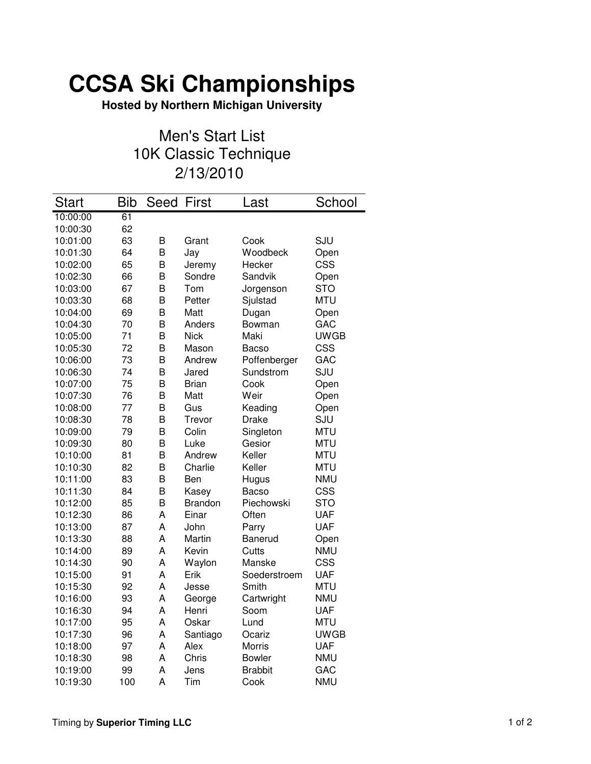## **CCSA Ski Championships**

**Hosted by Northern Michigan University**

## Men's Start List 10K Classic Technique 2/13/2010

| <b>Start</b> | <b>Bib</b> | Seed | First          | Last           | School      |
|--------------|------------|------|----------------|----------------|-------------|
| 10:00:00     | 61         |      |                |                |             |
| 10:00:30     | 62         |      |                |                |             |
| 10:01:00     | 63         | B    | Grant          | Cook           | SJU         |
| 10:01:30     | 64         | B    | Jay            | Woodbeck       | Open        |
| 10:02:00     | 65         | B    | Jeremy         | Hecker         | CSS         |
| 10:02:30     | 66         | B    | Sondre         | Sandvik        | Open        |
| 10:03:00     | 67         | B    | Tom            | Jorgenson      | <b>STO</b>  |
| 10:03:30     | 68         | B    | Petter         | Sjulstad       | <b>MTU</b>  |
| 10:04:00     | 69         | B    | Matt           | Dugan          | Open        |
| 10:04:30     | 70         | B    | Anders         | Bowman         | GAC         |
| 10:05:00     | 71         | B    | <b>Nick</b>    | Maki           | <b>UWGB</b> |
| 10:05:30     | 72         | B    | Mason          | Bacso          | <b>CSS</b>  |
| 10:06:00     | 73         | B    | Andrew         | Poffenberger   | GAC         |
| 10:06:30     | 74         | B    | Jared          | Sundstrom      | SJU         |
| 10:07:00     | 75         | B    | <b>Brian</b>   | Cook           | Open        |
| 10:07:30     | 76         | B    | Matt           | Weir           | Open        |
| 10:08:00     | 77         | B    | Gus            | Keading        | Open        |
| 10:08:30     | 78         | B    | Trevor         | <b>Drake</b>   | SJU         |
| 10:09:00     | 79         | B    | Colin          | Singleton      | <b>MTU</b>  |
| 10:09:30     | 80         | B    | Luke           | Gesior         | <b>MTU</b>  |
| 10:10:00     | 81         | B    | Andrew         | Keller         | <b>MTU</b>  |
| 10:10:30     | 82         | B    | Charlie        | Keller         | <b>MTU</b>  |
| 10:11:00     | 83         | В    | Ben            | Hugus          | <b>NMU</b>  |
| 10:11:30     | 84         | B    | Kasey          | <b>Bacso</b>   | <b>CSS</b>  |
| 10:12:00     | 85         | B    | <b>Brandon</b> | Piechowski     | <b>STO</b>  |
| 10:12:30     | 86         | A    | Einar          | Often          | <b>UAF</b>  |
| 10:13:00     | 87         | A    | John           | Parry          | <b>UAF</b>  |
| 10:13:30     | 88         | A    | Martin         | Banerud        | Open        |
| 10:14:00     | 89         | A    | Kevin          | Cutts          | <b>NMU</b>  |
| 10:14:30     | 90         | A    | Waylon         | Manske         | CSS         |
| 10:15:00     | 91         | A    | Erik           | Soederstroem   | <b>UAF</b>  |
| 10:15:30     | 92         | A    | Jesse          | Smith          | <b>MTU</b>  |
| 10:16:00     | 93         | A    | George         | Cartwright     | <b>NMU</b>  |
| 10:16:30     | 94         | A    | Henri          | Soom           | <b>UAF</b>  |
| 10:17:00     | 95         | A    | Oskar          | Lund           | <b>MTU</b>  |
| 10:17:30     | 96         | A    | Santiago       | Ocariz         | <b>UWGB</b> |
| 10:18:00     | 97         | A    | Alex           | Morris         | <b>UAF</b>  |
| 10:18:30     | 98         | A    | Chris          | <b>Bowler</b>  | <b>NMU</b>  |
| 10:19:00     | 99         | A    | Jens           | <b>Brabbit</b> | GAC         |
| 10:19:30     | 100        | A    | Tim            | Cook           | <b>NMU</b>  |